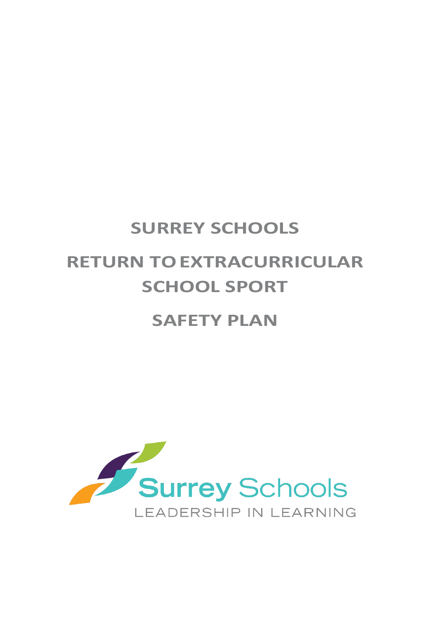## **SURREY SCHOOLS**

# **RETURN TOEXTRACURRICULAR SCHOOL SPORT**

## **SAFETY PLAN**

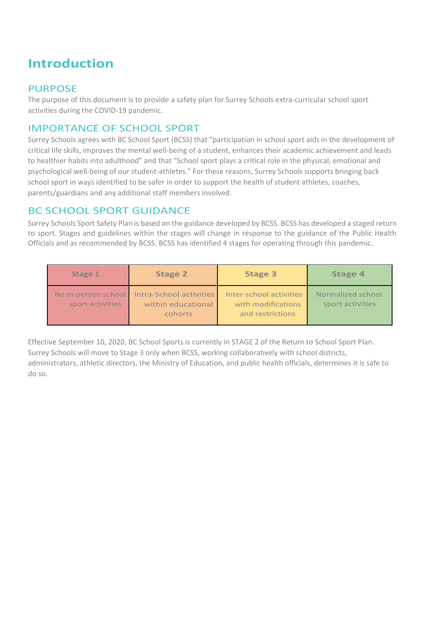## **Introduction**

#### PURPOSE

The purpose of this document is to provide a safety plan for Surrey Schools extra-curricular school sport activities during the COVID-19 pandemic.

#### IMPORTANCE OF SCHOOL SPORT

Surrey Schools agrees with BC School Sport (BCSS) that "participation in school sport aids in the development of critical life skills, improves the mental well-being of a student, enhances their academic achievement and leads to healthier habits into adulthood" and that "School sport plays a critical role in the physical, emotional and psychological well-being of our student-athletes." For these reasons, Surrey Schools supports bringing back school sport in ways identified to be safer in order to support the health of student athletes, coaches, parents/guardians and any additional staff members involved.

#### BC SCHOOL SPORT GUIDANCE

Surrey Schools Sport Safety Plan is based on the guidance developed by BCSS. BCSS has developed a staged return to sport. Stages and guidelines within the stages will change in response to the guidance of the Public Health Officials and as recommended by BCSS. BCSS has identified 4 stages for operating through this pandemic.

| Stage 1                                 | <b>Stage 2</b>                                                  | <b>Stage 3</b>                                                    | <b>Stage 4</b>                        |
|-----------------------------------------|-----------------------------------------------------------------|-------------------------------------------------------------------|---------------------------------------|
| No in-person school<br>sport activities | <b>Intra-School activities</b><br>within educational<br>cohorts | Inter-school activities<br>with modifications<br>and restrictions | Normalized school<br>sport activities |

Effective September 10, 2020, BC School Sports is currently in STAGE 2 of the Return to School Sport Plan. Surrey Schools will move to Stage 3 only when BCSS, working collaboratively with school districts, administrators, athletic directors, the Ministry of Education, and public health officials, determines it is safe to do so.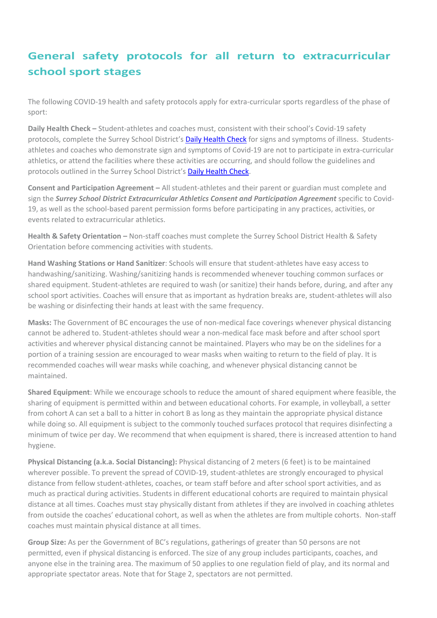## **General safety protocols for all return to extracurricular school sport stages**

The following COVID-19 health and safety protocols apply for extra-curricular sports regardless of the phase of sport:

**Daily Health Check –** Student-athletes and coaches must, consistent with their school's Covid-19 safety protocols, complete the Surrey School District's [Daily Health Check](https://www.surreyschools.ca/covid19/healthsafety/Documents/Daily%20Health%20Check.pdf) for signs and symptoms of illness. Studentsathletes and coaches who demonstrate sign and symptoms of Covid-19 are not to participate in extra-curricular athletics, or attend the facilities where these activities are occurring, and should follow the guidelines and protocols outlined in the Surrey School District's [Daily Health Check.](https://www.surreyschools.ca/covid19/healthsafety/Documents/Daily%20Health%20Check.pdf)

**Consent and Participation Agreement –** All student-athletes and their parent or guardian must complete and sign the *Surrey School District Extracurricular Athletics Consent and Participation Agreement* specific to Covid-19, as well as the school-based parent permission forms before participating in any practices, activities, or events related to extracurricular athletics.

**Health & Safety Orientation –** Non-staff coaches must complete the Surrey School District Health & Safety Orientation before commencing activities with students.

**Hand Washing Stations or Hand Sanitizer**: Schools will ensure that student-athletes have easy access to handwashing/sanitizing. Washing/sanitizing hands is recommended whenever touching common surfaces or shared equipment. Student-athletes are required to wash (or sanitize) their hands before, during, and after any school sport activities. Coaches will ensure that as important as hydration breaks are, student-athletes will also be washing or disinfecting their hands at least with the same frequency.

**Masks:** The Government of BC encourages the use of non-medical face coverings whenever physical distancing cannot be adhered to. Student-athletes should wear a non-medical face mask before and after school sport activities and wherever physical distancing cannot be maintained. Players who may be on the sidelines for a portion of a training session are encouraged to wear masks when waiting to return to the field of play. It is recommended coaches will wear masks while coaching, and whenever physical distancing cannot be maintained.

**Shared Equipment**: While we encourage schools to reduce the amount of shared equipment where feasible, the sharing of equipment is permitted within and between educational cohorts. For example, in volleyball, a setter from cohort A can set a ball to a hitter in cohort B as long as they maintain the appropriate physical distance while doing so. All equipment is subject to the commonly touched surfaces protocol that requires disinfecting a minimum of twice per day. We recommend that when equipment is shared, there is increased attention to hand hygiene.

**Physical Distancing (a.k.a. Social Distancing):** Physical distancing of 2 meters (6 feet) is to be maintained wherever possible. To prevent the spread of COVID-19, student-athletes are strongly encouraged to physical distance from fellow student-athletes, coaches, or team staff before and after school sport activities, and as much as practical during activities. Students in different educational cohorts are required to maintain physical distance at all times. Coaches must stay physically distant from athletes if they are involved in coaching athletes from outside the coaches' educational cohort, as well as when the athletes are from multiple cohorts. Non-staff coaches must maintain physical distance at all times.

**Group Size:** As per the Government of BC's regulations, gatherings of greater than 50 persons are not permitted, even if physical distancing is enforced. The size of any group includes participants, coaches, and anyone else in the training area. The maximum of 50 applies to one regulation field of play, and its normal and appropriate spectator areas. Note that for Stage 2, spectators are not permitted.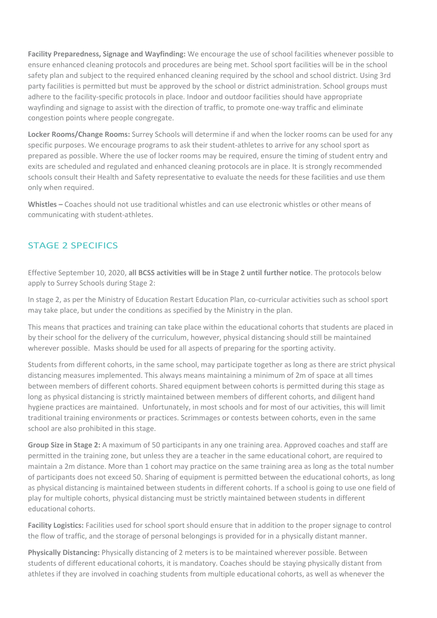**Facility Preparedness, Signage and Wayfinding:** We encourage the use of school facilities whenever possible to ensure enhanced cleaning protocols and procedures are being met. School sport facilities will be in the school safety plan and subject to the required enhanced cleaning required by the school and school district. Using 3rd party facilities is permitted but must be approved by the school or district administration. School groups must adhere to the facility-specific protocols in place. Indoor and outdoor facilities should have appropriate wayfinding and signage to assist with the direction of traffic, to promote one-way traffic and eliminate congestion points where people congregate.

**Locker Rooms/Change Rooms:** Surrey Schools will determine if and when the locker rooms can be used for any specific purposes. We encourage programs to ask their student-athletes to arrive for any school sport as prepared as possible. Where the use of locker rooms may be required, ensure the timing of student entry and exits are scheduled and regulated and enhanced cleaning protocols are in place. It is strongly recommended schools consult their Health and Safety representative to evaluate the needs for these facilities and use them only when required.

**Whistles –** Coaches should not use traditional whistles and can use electronic whistles or other means of communicating with student-athletes.

#### STAGE 2 SPECIFICS

Effective September 10, 2020, **all BCSS activities will be in Stage 2 until further notice**. The protocols below apply to Surrey Schools during Stage 2:

In stage 2, as per the Ministry of Education Restart Education Plan, co-curricular activities such as school sport may take place, but under the conditions as specified by the Ministry in the plan.

This means that practices and training can take place within the educational cohorts that students are placed in by their school for the delivery of the curriculum, however, physical distancing should still be maintained wherever possible. Masks should be used for all aspects of preparing for the sporting activity.

Students from different cohorts, in the same school, may participate together as long as there are strict physical distancing measures implemented. This always means maintaining a minimum of 2m of space at all times between members of different cohorts. Shared equipment between cohorts is permitted during this stage as long as physical distancing is strictly maintained between members of different cohorts, and diligent hand hygiene practices are maintained. Unfortunately, in most schools and for most of our activities, this will limit traditional training environments or practices. Scrimmages or contests between cohorts, even in the same school are also prohibited in this stage.

**Group Size in Stage 2:** A maximum of 50 participants in any one training area. Approved coaches and staff are permitted in the training zone, but unless they are a teacher in the same educational cohort, are required to maintain a 2m distance. More than 1 cohort may practice on the same training area as long as the total number of participants does not exceed 50. Sharing of equipment is permitted between the educational cohorts, as long as physical distancing is maintained between students in different cohorts. If a school is going to use one field of play for multiple cohorts, physical distancing must be strictly maintained between students in different educational cohorts.

**Facility Logistics:** Facilities used for school sport should ensure that in addition to the proper signage to control the flow of traffic, and the storage of personal belongings is provided for in a physically distant manner.

**Physically Distancing:** Physically distancing of 2 meters is to be maintained wherever possible. Between students of different educational cohorts, it is mandatory. Coaches should be staying physically distant from athletes if they are involved in coaching students from multiple educational cohorts, as well as whenever the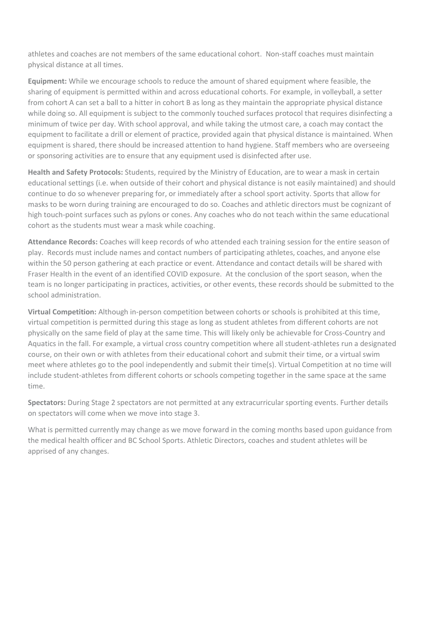athletes and coaches are not members of the same educational cohort. Non-staff coaches must maintain physical distance at all times.

**Equipment:** While we encourage schools to reduce the amount of shared equipment where feasible, the sharing of equipment is permitted within and across educational cohorts. For example, in volleyball, a setter from cohort A can set a ball to a hitter in cohort B as long as they maintain the appropriate physical distance while doing so. All equipment is subject to the commonly touched surfaces protocol that requires disinfecting a minimum of twice per day. With school approval, and while taking the utmost care, a coach may contact the equipment to facilitate a drill or element of practice, provided again that physical distance is maintained. When equipment is shared, there should be increased attention to hand hygiene. Staff members who are overseeing or sponsoring activities are to ensure that any equipment used is disinfected after use.

**Health and Safety Protocols:** Students, required by the Ministry of Education, are to wear a mask in certain educational settings (i.e. when outside of their cohort and physical distance is not easily maintained) and should continue to do so whenever preparing for, or immediately after a school sport activity. Sports that allow for masks to be worn during training are encouraged to do so. Coaches and athletic directors must be cognizant of high touch-point surfaces such as pylons or cones. Any coaches who do not teach within the same educational cohort as the students must wear a mask while coaching.

**Attendance Records:** Coaches will keep records of who attended each training session for the entire season of play. Records must include names and contact numbers of participating athletes, coaches, and anyone else within the 50 person gathering at each practice or event. Attendance and contact details will be shared with Fraser Health in the event of an identified COVID exposure. At the conclusion of the sport season, when the team is no longer participating in practices, activities, or other events, these records should be submitted to the school administration.

**Virtual Competition:** Although in-person competition between cohorts or schools is prohibited at this time, virtual competition is permitted during this stage as long as student athletes from different cohorts are not physically on the same field of play at the same time. This will likely only be achievable for Cross-Country and Aquatics in the fall. For example, a virtual cross country competition where all student-athletes run a designated course, on their own or with athletes from their educational cohort and submit their time, or a virtual swim meet where athletes go to the pool independently and submit their time(s). Virtual Competition at no time will include student-athletes from different cohorts or schools competing together in the same space at the same time.

**Spectators:** During Stage 2 spectators are not permitted at any extracurricular sporting events. Further details on spectators will come when we move into stage 3.

What is permitted currently may change as we move forward in the coming months based upon guidance from the medical health officer and BC School Sports. Athletic Directors, coaches and student athletes will be apprised of any changes.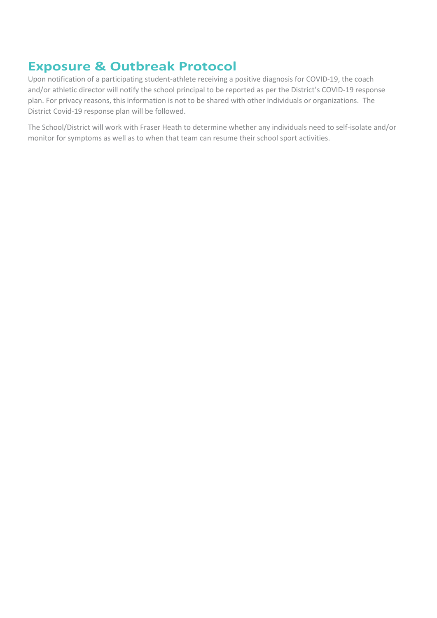### **Exposure & Outbreak Protocol**

Upon notification of a participating student-athlete receiving a positive diagnosis for COVID-19, the coach and/or athletic director will notify the school principal to be reported as per the District's COVID-19 response plan. For privacy reasons, this information is not to be shared with other individuals or organizations. The District Covid-19 response plan will be followed.

The School/District will work with Fraser Heath to determine whether any individuals need to self-isolate and/or monitor for symptoms as well as to when that team can resume their school sport activities.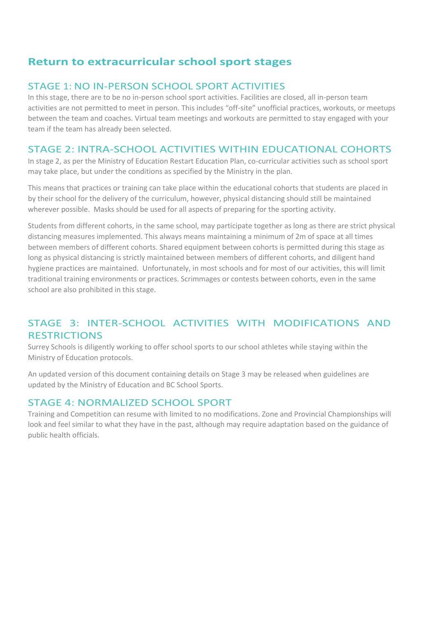#### **Return to extracurricular school sport stages**

#### STAGE 1: NO IN-PERSON SCHOOL SPORT ACTIVITIES

In this stage, there are to be no in-person school sport activities. Facilities are closed, all in-person team activities are not permitted to meet in person. This includes "off-site" unofficial practices, workouts, or meetups between the team and coaches. Virtual team meetings and workouts are permitted to stay engaged with your team if the team has already been selected.

#### STAGE 2: INTRA-SCHOOL ACTIVITIES WITHIN EDUCATIONAL COHORTS

In stage 2, as per the Ministry of Education Restart Education Plan, co-curricular activities such as school sport may take place, but under the conditions as specified by the Ministry in the plan.

This means that practices or training can take place within the educational cohorts that students are placed in by their school for the delivery of the curriculum, however, physical distancing should still be maintained wherever possible. Masks should be used for all aspects of preparing for the sporting activity.

Students from different cohorts, in the same school, may participate together as long as there are strict physical distancing measures implemented. This always means maintaining a minimum of 2m of space at all times between members of different cohorts. Shared equipment between cohorts is permitted during this stage as long as physical distancing is strictly maintained between members of different cohorts, and diligent hand hygiene practices are maintained. Unfortunately, in most schools and for most of our activities, this will limit traditional training environments or practices. Scrimmages or contests between cohorts, even in the same school are also prohibited in this stage.

#### STAGE 3: INTER-SCHOOL ACTIVITIES WITH MODIFICATIONS AND RESTRICTIONS

Surrey Schools is diligently working to offer school sports to our school athletes while staying within the Ministry of Education protocols.

An updated version of this document containing details on Stage 3 may be released when guidelines are updated by the Ministry of Education and BC School Sports.

#### STAGE 4: NORMALIZED SCHOOL SPORT

Training and Competition can resume with limited to no modifications. Zone and Provincial Championships will look and feel similar to what they have in the past, although may require adaptation based on the guidance of public health officials.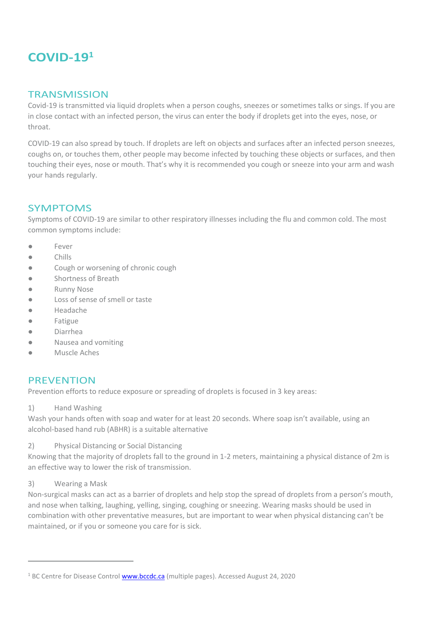## **COVID-19<sup>1</sup>**

#### **TRANSMISSION**

Covid-19 is transmitted via liquid droplets when a person coughs, sneezes or sometimes talks or sings. If you are in close contact with an infected person, the virus can enter the body if droplets get into the eyes, nose, or throat.

COVID-19 can also spread by touch. If droplets are left on objects and surfaces after an infected person sneezes, coughs on, or touches them, other people may become infected by touching these objects or surfaces, and then touching their eyes, nose or mouth. That's why it is recommended you cough or sneeze into your arm and wash your hands regularly.

#### SYMPTOMS

Symptoms of COVID-19 are similar to other respiratory illnesses including the flu and common cold. The most common symptoms include:

- Fever
- Chills
- Cough or worsening of chronic cough
- Shortness of Breath
- Runny Nose
- Loss of sense of smell or taste
- Headache
- Fatigue
- Diarrhea
- Nausea and vomiting
- Muscle Aches

#### **PREVENTION**

Prevention efforts to reduce exposure or spreading of droplets is focused in 3 key areas:

1) Hand Washing

Wash your hands often with soap and water for at least 20 seconds. Where soap isn't available, using an alcohol-based hand rub (ABHR) is a suitable alternative

2) Physical Distancing or Social Distancing

Knowing that the majority of droplets fall to the ground in 1-2 meters, maintaining a physical distance of 2m is an effective way to lower the risk of transmission.

3) Wearing a Mask

Non-surgical masks can act as a barrier of droplets and help stop the spread of droplets from a person's mouth, and nose when talking, laughing, yelling, singing, coughing or sneezing. Wearing masks should be used in combination with other preventative measures, but are important to wear when physical distancing can't be maintained, or if you or someone you care for is sick.

<sup>&</sup>lt;sup>1</sup> BC Centre for Disease Control [www.bccdc.ca](http://www.bccdc.ca/) (multiple pages). Accessed August 24, 2020